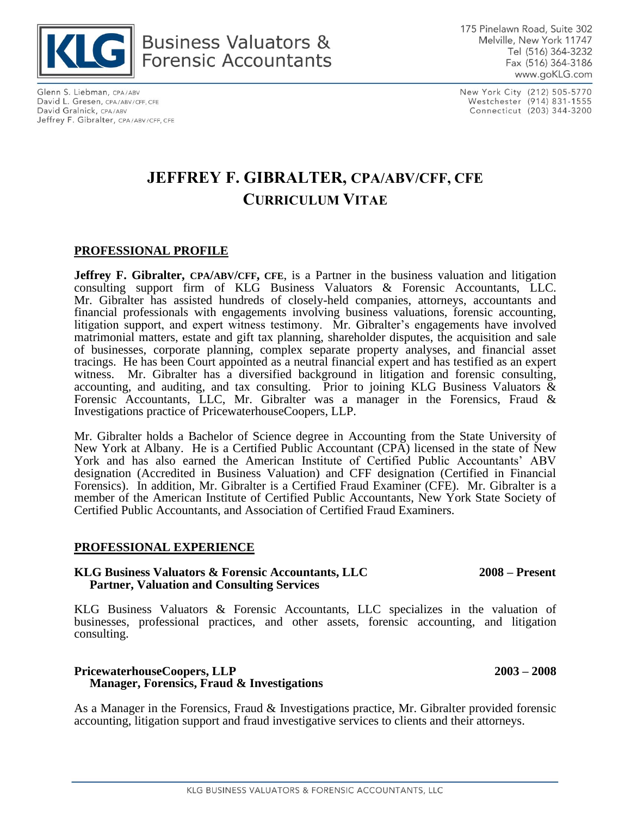

Glenn S. Liebman, CPA/ABV David L. Gresen, CPA/ABV/CFF, CFE David Gralnick, CPA/ABV Jeffrey F. Gibralter, CPA/ABV/CFF, CFE New York City (212) 505-5770 Westchester (914) 831-1555 Connecticut (203) 344-3200

# **JEFFREY F. GIBRALTER, CPA/ABV/CFF, CFE CURRICULUM VITAE**

### **PROFESSIONAL PROFILE**

**Jeffrey F. Gibralter, CPA/ABV/CFF, CFE**, is a Partner in the business valuation and litigation consulting support firm of KLG Business Valuators & Forensic Accountants, LLC. Mr. Gibralter has assisted hundreds of closely-held companies, attorneys, accountants and financial professionals with engagements involving business valuations, forensic accounting, litigation support, and expert witness testimony. Mr. Gibralter's engagements have involved matrimonial matters, estate and gift tax planning, shareholder disputes, the acquisition and sale of businesses, corporate planning, complex separate property analyses, and financial asset tracings. He has been Court appointed as a neutral financial expert and has testified as an expert witness. Mr. Gibralter has a diversified background in litigation and forensic consulting, accounting, and auditing, and tax consulting. Prior to joining KLG Business Valuators & Forensic Accountants, LLC, Mr. Gibralter was a manager in the Forensics, Fraud & Investigations practice of PricewaterhouseCoopers, LLP.

Mr. Gibralter holds a Bachelor of Science degree in Accounting from the State University of New York at Albany. He is a Certified Public Accountant (CPA) licensed in the state of New York and has also earned the American Institute of Certified Public Accountants' ABV designation (Accredited in Business Valuation) and CFF designation (Certified in Financial Forensics). In addition, Mr. Gibralter is a Certified Fraud Examiner (CFE). Mr. Gibralter is a member of the American Institute of Certified Public Accountants, New York State Society of Certified Public Accountants, and Association of Certified Fraud Examiners.

#### **PROFESSIONAL EXPERIENCE**

#### **KLG Business Valuators & Forensic Accountants, LLC 2008 – Present Partner, Valuation and Consulting Services**

KLG Business Valuators & Forensic Accountants, LLC specializes in the valuation of businesses, professional practices, and other assets, forensic accounting, and litigation consulting.

#### **PricewaterhouseCoopers, LLP 2003 – 2008 Manager, Forensics, Fraud & Investigations**

As a Manager in the Forensics, Fraud & Investigations practice, Mr. Gibralter provided forensic accounting, litigation support and fraud investigative services to clients and their attorneys.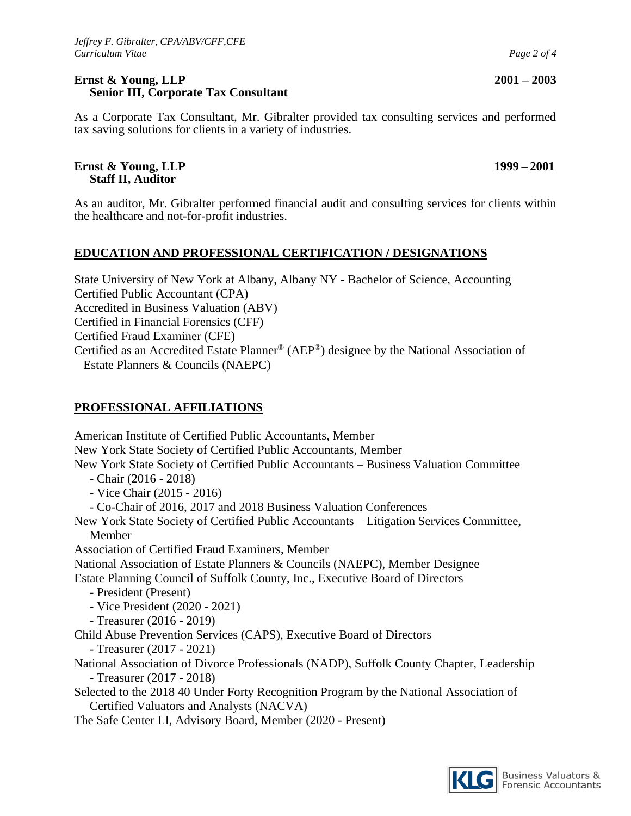#### **Ernst & Young, LLP 2001 – 2003 Senior III, Corporate Tax Consultant**

As a Corporate Tax Consultant, Mr. Gibralter provided tax consulting services and performed tax saving solutions for clients in a variety of industries.

#### **Ernst & Young, LLP 1999 – 2001 Staff II, Auditor**

As an auditor, Mr. Gibralter performed financial audit and consulting services for clients within the healthcare and not-for-profit industries.

# **EDUCATION AND PROFESSIONAL CERTIFICATION / DESIGNATIONS**

State University of New York at Albany, Albany NY - Bachelor of Science, Accounting Certified Public Accountant (CPA) Accredited in Business Valuation (ABV) Certified in Financial Forensics (CFF) Certified Fraud Examiner (CFE) Certified as an Accredited Estate Planner® (AEP®) designee by the National Association of Estate Planners & Councils (NAEPC)

# **PROFESSIONAL AFFILIATIONS**

American Institute of Certified Public Accountants, Member New York State Society of Certified Public Accountants, Member New York State Society of Certified Public Accountants – Business Valuation Committee - Chair (2016 - 2018) - Vice Chair (2015 - 2016) - Co-Chair of 2016, 2017 and 2018 Business Valuation Conferences New York State Society of Certified Public Accountants – Litigation Services Committee, Member Association of Certified Fraud Examiners, Member National Association of Estate Planners & Councils (NAEPC), Member Designee Estate Planning Council of Suffolk County, Inc., Executive Board of Directors - President (Present) - Vice President (2020 - 2021) - Treasurer (2016 - 2019) Child Abuse Prevention Services (CAPS), Executive Board of Directors - Treasurer (2017 - 2021) National Association of Divorce Professionals (NADP), Suffolk County Chapter, Leadership - Treasurer (2017 - 2018) Selected to the 2018 40 Under Forty Recognition Program by the National Association of Certified Valuators and Analysts (NACVA) The Safe Center LI, Advisory Board, Member (2020 - Present)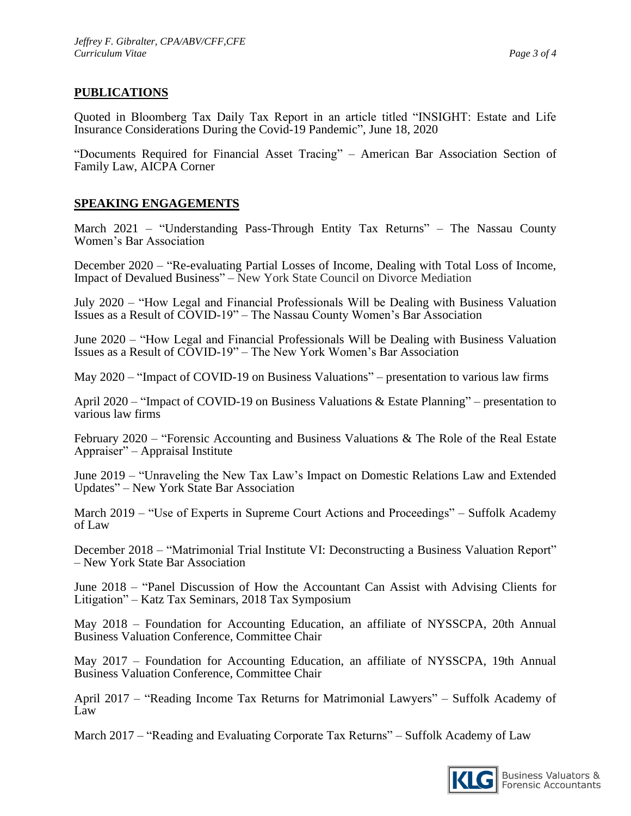## **PUBLICATIONS**

Quoted in Bloomberg Tax Daily Tax Report in an article titled "INSIGHT: Estate and Life Insurance Considerations During the Covid-19 Pandemic", June 18, 2020

"Documents Required for Financial Asset Tracing" – American Bar Association Section of Family Law, AICPA Corner

## **SPEAKING ENGAGEMENTS**

March 2021 – "Understanding Pass-Through Entity Tax Returns" – The Nassau County Women's Bar Association

December 2020 – "Re-evaluating Partial Losses of Income, Dealing with Total Loss of Income, Impact of Devalued Business" – New York State Council on Divorce Mediation

July 2020 – "How Legal and Financial Professionals Will be Dealing with Business Valuation Issues as a Result of COVID-19" – The Nassau County Women's Bar Association

June 2020 – "How Legal and Financial Professionals Will be Dealing with Business Valuation Issues as a Result of COVID-19" – The New York Women's Bar Association

May 2020 – "Impact of COVID-19 on Business Valuations" – presentation to various law firms

April 2020 – "Impact of COVID-19 on Business Valuations & Estate Planning" – presentation to various law firms

February 2020 – "Forensic Accounting and Business Valuations & The Role of the Real Estate Appraiser" – Appraisal Institute

June 2019 – "Unraveling the New Tax Law's Impact on Domestic Relations Law and Extended Updates" – New York State Bar Association

March 2019 – "Use of Experts in Supreme Court Actions and Proceedings" – Suffolk Academy of Law

December 2018 – "Matrimonial Trial Institute VI: Deconstructing a Business Valuation Report" – New York State Bar Association

June 2018 – "Panel Discussion of How the Accountant Can Assist with Advising Clients for Litigation" – Katz Tax Seminars, 2018 Tax Symposium

May 2018 – Foundation for Accounting Education, an affiliate of NYSSCPA, 20th Annual Business Valuation Conference, Committee Chair

May 2017 – Foundation for Accounting Education, an affiliate of NYSSCPA, 19th Annual Business Valuation Conference, Committee Chair

April 2017 – "Reading Income Tax Returns for Matrimonial Lawyers" – Suffolk Academy of Law

March 2017 – "Reading and Evaluating Corporate Tax Returns" – Suffolk Academy of Law